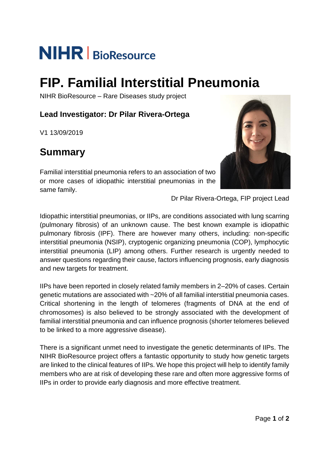# **NIHR** BioResource

## **FIP. Familial Interstitial Pneumonia**

NIHR BioResource – Rare Diseases study project

#### **Lead Investigator: Dr Pilar Rivera-Ortega**

V1 13/09/2019

### **Summary**

Familial interstitial pneumonia refers to an association of two or more cases of idiopathic interstitial pneumonias in the same family.



Dr Pilar Rivera-Ortega, FIP project Lead

Idiopathic interstitial pneumonias, or IIPs, are conditions associated with lung scarring (pulmonary fibrosis) of an unknown cause. The best known example is idiopathic pulmonary fibrosis (IPF). There are however many others, including: non-specific interstitial pneumonia (NSIP), cryptogenic organizing pneumonia (COP), lymphocytic interstitial pneumonia (LIP) among others. Further research is urgently needed to answer questions regarding their cause, factors influencing prognosis, early diagnosis and new targets for treatment.

IIPs have been reported in closely related family members in 2–20% of cases. Certain genetic mutations are associated with ~20% of all familial interstitial pneumonia cases. Critical shortening in the length of telomeres (fragments of DNA at the end of chromosomes) is also believed to be strongly associated with the development of familial interstitial pneumonia and can influence prognosis (shorter telomeres believed to be linked to a more aggressive disease).

There is a significant unmet need to investigate the genetic determinants of IIPs. The NIHR BioResource project offers a fantastic opportunity to study how genetic targets are linked to the clinical features of IIPs. We hope this project will help to identify family members who are at risk of developing these rare and often more aggressive forms of IIPs in order to provide early diagnosis and more effective treatment.